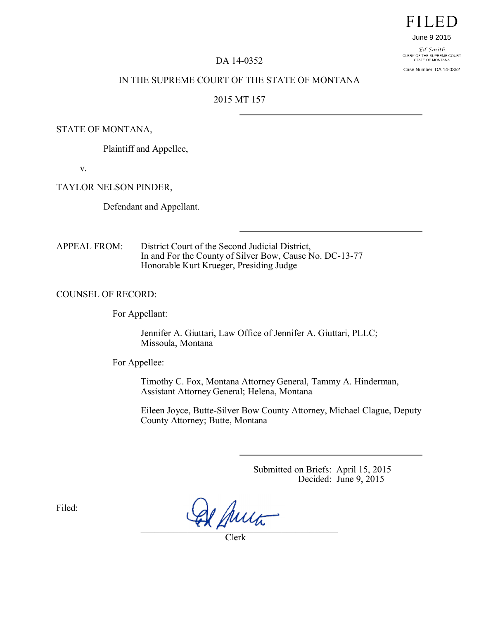# **FILED**

#### June 9 2015

Ed Smith CLERK OF THE SUPREME COURT<br>STATE OF MONTANA

Case Number: DA 14-0352

### DA 14-0352

## IN THE SUPREME COURT OF THE STATE OF MONTANA

# 2015 MT 157

# STATE OF MONTANA,

Plaintiff and Appellee,

v.

TAYLOR NELSON PINDER,

Defendant and Appellant.

APPEAL FROM: District Court of the Second Judicial District, In and For the County of Silver Bow, Cause No. DC-13-77 Honorable Kurt Krueger, Presiding Judge

COUNSEL OF RECORD:

For Appellant:

Jennifer A. Giuttari, Law Office of Jennifer A. Giuttari, PLLC; Missoula, Montana

For Appellee:

Timothy C. Fox, Montana Attorney General, Tammy A. Hinderman, Assistant Attorney General; Helena, Montana

Eileen Joyce, Butte-Silver Bow County Attorney, Michael Clague, Deputy County Attorney; Butte, Montana

> Submitted on Briefs: April 15, 2015 Decided: June 9, 2015

Filed:

 $\mathcal{L} \wedge \mu$  as

Clerk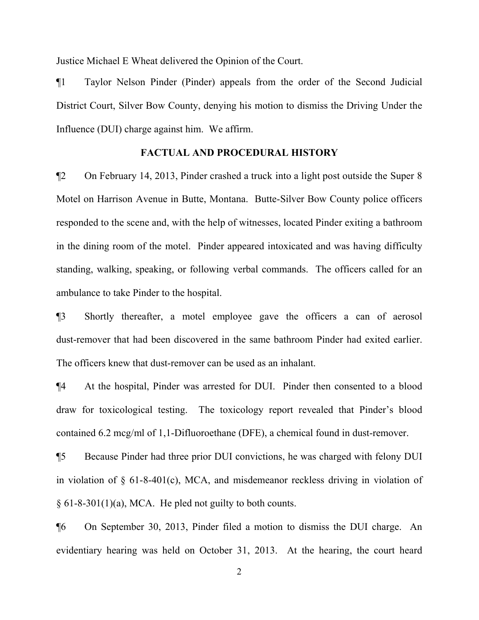Justice Michael E Wheat delivered the Opinion of the Court.

¶1 Taylor Nelson Pinder (Pinder) appeals from the order of the Second Judicial District Court, Silver Bow County, denying his motion to dismiss the Driving Under the Influence (DUI) charge against him. We affirm.

# **FACTUAL AND PROCEDURAL HISTORY**

¶2 On February 14, 2013, Pinder crashed a truck into a light post outside the Super 8 Motel on Harrison Avenue in Butte, Montana. Butte-Silver Bow County police officers responded to the scene and, with the help of witnesses, located Pinder exiting a bathroom in the dining room of the motel. Pinder appeared intoxicated and was having difficulty standing, walking, speaking, or following verbal commands. The officers called for an ambulance to take Pinder to the hospital.

¶3 Shortly thereafter, a motel employee gave the officers a can of aerosol dust-remover that had been discovered in the same bathroom Pinder had exited earlier. The officers knew that dust-remover can be used as an inhalant.

¶4 At the hospital, Pinder was arrested for DUI. Pinder then consented to a blood draw for toxicological testing. The toxicology report revealed that Pinder's blood contained 6.2 mcg/ml of 1,1-Difluoroethane (DFE), a chemical found in dust-remover.

¶5 Because Pinder had three prior DUI convictions, he was charged with felony DUI in violation of § 61-8-401(c), MCA, and misdemeanor reckless driving in violation of  $§ 61-8-301(1)(a)$ , MCA. He pled not guilty to both counts.

¶6 On September 30, 2013, Pinder filed a motion to dismiss the DUI charge. An evidentiary hearing was held on October 31, 2013. At the hearing, the court heard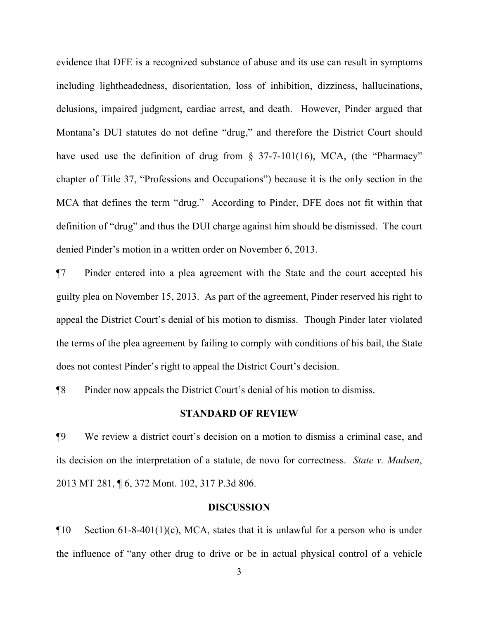evidence that DFE is a recognized substance of abuse and its use can result in symptoms including lightheadedness, disorientation, loss of inhibition, dizziness, hallucinations, delusions, impaired judgment, cardiac arrest, and death. However, Pinder argued that Montana's DUI statutes do not define "drug," and therefore the District Court should have used use the definition of drug from  $\S$  37-7-101(16), MCA, (the "Pharmacy" chapter of Title 37, "Professions and Occupations") because it is the only section in the MCA that defines the term "drug." According to Pinder, DFE does not fit within that definition of "drug" and thus the DUI charge against him should be dismissed. The court denied Pinder's motion in a written order on November 6, 2013.

¶7 Pinder entered into a plea agreement with the State and the court accepted his guilty plea on November 15, 2013. As part of the agreement, Pinder reserved his right to appeal the District Court's denial of his motion to dismiss. Though Pinder later violated the terms of the plea agreement by failing to comply with conditions of his bail, the State does not contest Pinder's right to appeal the District Court's decision.

¶8 Pinder now appeals the District Court's denial of his motion to dismiss.

# **STANDARD OF REVIEW**

¶9 We review a district court's decision on a motion to dismiss a criminal case, and its decision on the interpretation of a statute, de novo for correctness. *State v. Madsen*, 2013 MT 281, ¶ 6, 372 Mont. 102, 317 P.3d 806.

#### **DISCUSSION**

 $\P$ 10 Section 61-8-401(1)(c), MCA, states that it is unlawful for a person who is under the influence of "any other drug to drive or be in actual physical control of a vehicle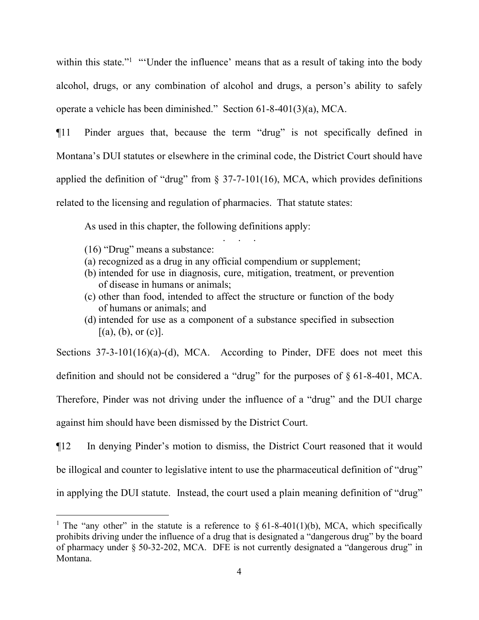within this state."<sup>[1](#page-3-0)</sup> "'Under the influence' means that as a result of taking into the body alcohol, drugs, or any combination of alcohol and drugs, a person's ability to safely operate a vehicle has been diminished." Section 61-8-401(3)(a), MCA.

¶11 Pinder argues that, because the term "drug" is not specifically defined in Montana's DUI statutes or elsewhere in the criminal code, the District Court should have applied the definition of "drug" from  $\S$  37-7-101(16), MCA, which provides definitions related to the licensing and regulation of pharmacies. That statute states:

As used in this chapter, the following definitions apply:

(16) "Drug" means a substance:

i

- (a) recognized as a drug in any official compendium or supplement;
- (b) intended for use in diagnosis, cure, mitigation, treatment, or prevention of disease in humans or animals;

. . . . .<br>. . . . . .

- (c) other than food, intended to affect the structure or function of the body of humans or animals; and
- (d) intended for use as a component of a substance specified in subsection  $[(a), (b),$  or  $(c)]$ .

Sections 37-3-101(16)(a)-(d), MCA. According to Pinder, DFE does not meet this definition and should not be considered a "drug" for the purposes of § 61-8-401, MCA. Therefore, Pinder was not driving under the influence of a "drug" and the DUI charge against him should have been dismissed by the District Court.

¶12 In denying Pinder's motion to dismiss, the District Court reasoned that it would be illogical and counter to legislative intent to use the pharmaceutical definition of "drug" in applying the DUI statute. Instead, the court used a plain meaning definition of "drug"

<span id="page-3-0"></span><sup>&</sup>lt;sup>1</sup> The "any other" in the statute is a reference to § 61-8-401(1)(b), MCA, which specifically prohibits driving under the influence of a drug that is designated a "dangerous drug" by the board of pharmacy under § 50-32-202, MCA. DFE is not currently designated a "dangerous drug" in Montana.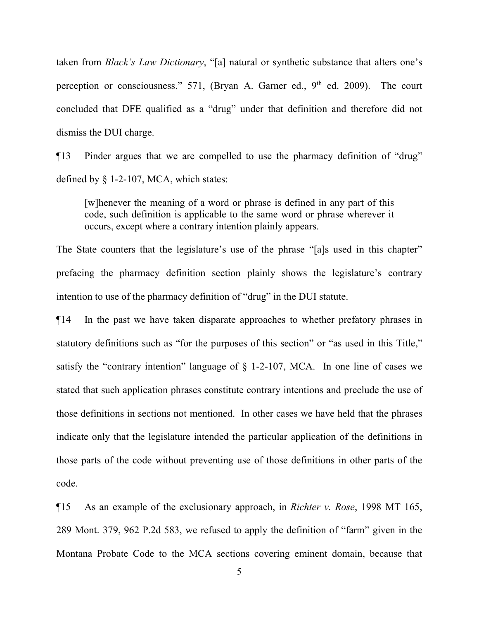taken from *Black's Law Dictionary*, "[a] natural or synthetic substance that alters one's perception or consciousness."  $571$ , (Bryan A. Garner ed.,  $9<sup>th</sup>$  ed. 2009). The court concluded that DFE qualified as a "drug" under that definition and therefore did not dismiss the DUI charge.

¶13 Pinder argues that we are compelled to use the pharmacy definition of "drug" defined by § 1-2-107, MCA, which states:

[w]henever the meaning of a word or phrase is defined in any part of this code, such definition is applicable to the same word or phrase wherever it occurs, except where a contrary intention plainly appears.

The State counters that the legislature's use of the phrase "[a]s used in this chapter" prefacing the pharmacy definition section plainly shows the legislature's contrary intention to use of the pharmacy definition of "drug" in the DUI statute.

¶14 In the past we have taken disparate approaches to whether prefatory phrases in statutory definitions such as "for the purposes of this section" or "as used in this Title," satisfy the "contrary intention" language of  $\S$  1-2-107, MCA. In one line of cases we stated that such application phrases constitute contrary intentions and preclude the use of those definitions in sections not mentioned. In other cases we have held that the phrases indicate only that the legislature intended the particular application of the definitions in those parts of the code without preventing use of those definitions in other parts of the code.

¶15 As an example of the exclusionary approach, in *Richter v. Rose*, 1998 MT 165, 289 Mont. 379, 962 P.2d 583, we refused to apply the definition of "farm" given in the Montana Probate Code to the MCA sections covering eminent domain, because that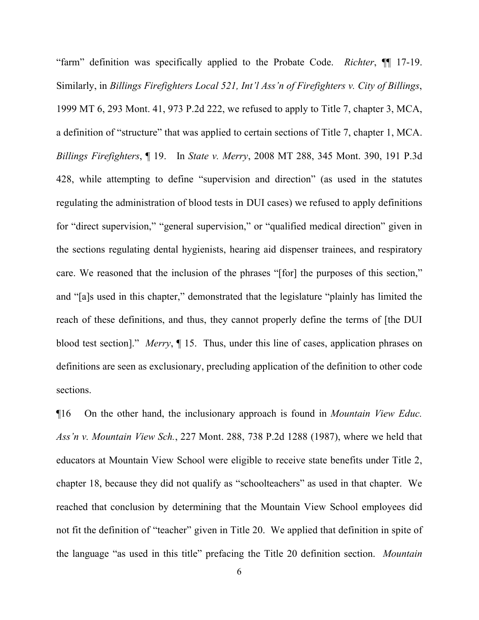"farm" definition was specifically applied to the Probate Code. *Richter*, ¶¶ 17-19. Similarly, in *Billings Firefighters Local 521, Int'l Ass'n of Firefighters v. City of Billings*, 1999 MT 6, 293 Mont. 41, 973 P.2d 222, we refused to apply to Title 7, chapter 3, MCA, a definition of "structure" that was applied to certain sections of Title 7, chapter 1, MCA. *Billings Firefighters*, ¶ 19. In *State v. Merry*, 2008 MT 288, 345 Mont. 390, 191 P.3d 428, while attempting to define "supervision and direction" (as used in the statutes regulating the administration of blood tests in DUI cases) we refused to apply definitions for "direct supervision," "general supervision," or "qualified medical direction" given in the sections regulating dental hygienists, hearing aid dispenser trainees, and respiratory care. We reasoned that the inclusion of the phrases "[for] the purposes of this section," and "[a]s used in this chapter," demonstrated that the legislature "plainly has limited the reach of these definitions, and thus, they cannot properly define the terms of [the DUI blood test section]." *Merry*, ¶ 15. Thus, under this line of cases, application phrases on definitions are seen as exclusionary, precluding application of the definition to other code sections.

¶16 On the other hand, the inclusionary approach is found in *Mountain View Educ. Ass'n v. Mountain View Sch.*, 227 Mont. 288, 738 P.2d 1288 (1987), where we held that educators at Mountain View School were eligible to receive state benefits under Title 2, chapter 18, because they did not qualify as "schoolteachers" as used in that chapter. We reached that conclusion by determining that the Mountain View School employees did not fit the definition of "teacher" given in Title 20. We applied that definition in spite of the language "as used in this title" prefacing the Title 20 definition section. *Mountain*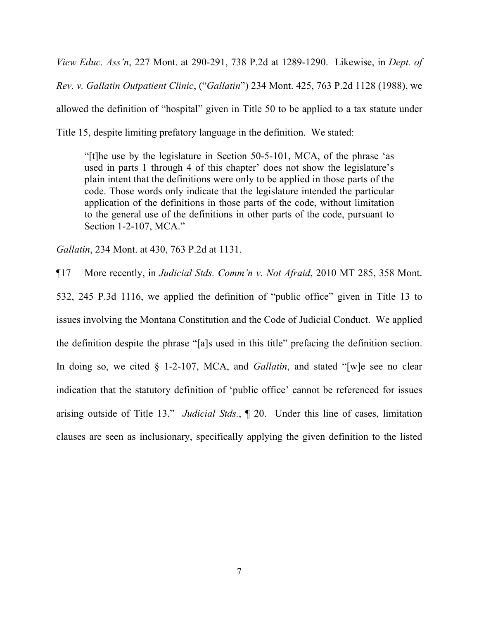*View Educ. Ass'n*, 227 Mont. at 290-291, 738 P.2d at 1289-1290. Likewise, in *Dept. of Rev. v. Gallatin Outpatient Clinic*, ("*Gallatin*") 234 Mont. 425, 763 P.2d 1128 (1988), we allowed the definition of "hospital" given in Title 50 to be applied to a tax statute under Title 15, despite limiting prefatory language in the definition. We stated:

"[t]he use by the legislature in Section 50-5-101, MCA, of the phrase 'as used in parts 1 through 4 of this chapter' does not show the legislature's plain intent that the definitions were only to be applied in those parts of the code. Those words only indicate that the legislature intended the particular application of the definitions in those parts of the code, without limitation to the general use of the definitions in other parts of the code, pursuant to Section 1-2-107, MCA."

*Gallatin*, 234 Mont. at 430, 763 P.2d at 1131.

¶17 More recently, in *Judicial Stds. Comm'n v. Not Afraid*, 2010 MT 285, 358 Mont.

532, 245 P.3d 1116, we applied the definition of "public office" given in Title 13 to issues involving the Montana Constitution and the Code of Judicial Conduct. We applied the definition despite the phrase "[a]s used in this title" prefacing the definition section. In doing so, we cited § 1-2-107, MCA, and *Gallatin*, and stated "[w]e see no clear indication that the statutory definition of 'public office' cannot be referenced for issues arising outside of Title 13." *Judicial Stds.*, ¶ 20. Under this line of cases, limitation clauses are seen as inclusionary, specifically applying the given definition to the listed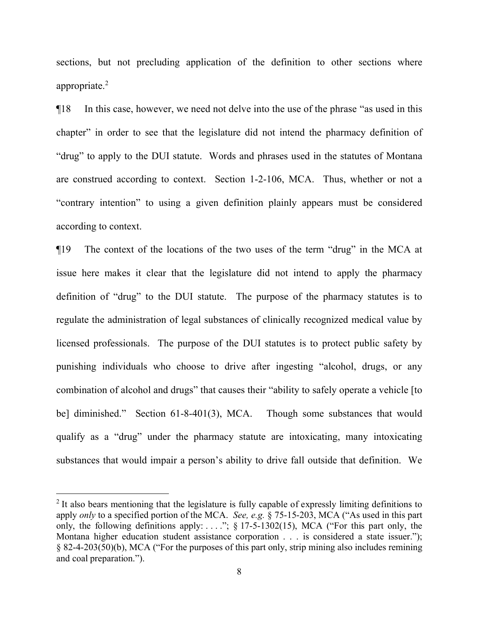sections, but not precluding application of the definition to other sections where appropriate.[2](#page-7-0)

¶18 In this case, however, we need not delve into the use of the phrase "as used in this chapter" in order to see that the legislature did not intend the pharmacy definition of "drug" to apply to the DUI statute. Words and phrases used in the statutes of Montana are construed according to context. Section 1-2-106, MCA. Thus, whether or not a "contrary intention" to using a given definition plainly appears must be considered according to context.

¶19 The context of the locations of the two uses of the term "drug" in the MCA at issue here makes it clear that the legislature did not intend to apply the pharmacy definition of "drug" to the DUI statute. The purpose of the pharmacy statutes is to regulate the administration of legal substances of clinically recognized medical value by licensed professionals. The purpose of the DUI statutes is to protect public safety by punishing individuals who choose to drive after ingesting "alcohol, drugs, or any combination of alcohol and drugs" that causes their "ability to safely operate a vehicle [to be] diminished." Section 61-8-401(3), MCA. Though some substances that would qualify as a "drug" under the pharmacy statute are intoxicating, many intoxicating substances that would impair a person's ability to drive fall outside that definition. We

i<br>Li

<span id="page-7-0"></span><sup>&</sup>lt;sup>2</sup> It also bears mentioning that the legislature is fully capable of expressly limiting definitions to apply *only* to a specified portion of the MCA. *See, e.g.* § 75-15-203, MCA ("As used in this part only, the following definitions apply: ....";  $\S$  17-5-1302(15), MCA ("For this part only, the Montana higher education student assistance corporation . . . is considered a state issuer."); § 82-4-203(50)(b), MCA ("For the purposes of this part only, strip mining also includes remining and coal preparation.").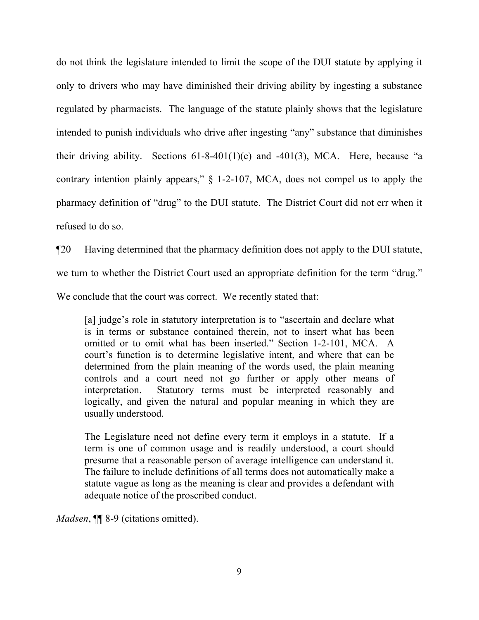do not think the legislature intended to limit the scope of the DUI statute by applying it only to drivers who may have diminished their driving ability by ingesting a substance regulated by pharmacists. The language of the statute plainly shows that the legislature intended to punish individuals who drive after ingesting "any" substance that diminishes their driving ability. Sections  $61-8-401(1)(c)$  and  $-401(3)$ , MCA. Here, because "a contrary intention plainly appears," § 1-2-107, MCA, does not compel us to apply the pharmacy definition of "drug" to the DUI statute. The District Court did not err when it refused to do so.

¶20 Having determined that the pharmacy definition does not apply to the DUI statute, we turn to whether the District Court used an appropriate definition for the term "drug." We conclude that the court was correct. We recently stated that:

[a] judge's role in statutory interpretation is to "ascertain and declare what is in terms or substance contained therein, not to insert what has been omitted or to omit what has been inserted." Section 1-2-101, MCA. A court's function is to determine legislative intent, and where that can be determined from the plain meaning of the words used, the plain meaning controls and a court need not go further or apply other means of interpretation. Statutory terms must be interpreted reasonably and logically, and given the natural and popular meaning in which they are usually understood.

The Legislature need not define every term it employs in a statute. If a term is one of common usage and is readily understood, a court should presume that a reasonable person of average intelligence can understand it. The failure to include definitions of all terms does not automatically make a statute vague as long as the meaning is clear and provides a defendant with adequate notice of the proscribed conduct.

*Madsen*, **¶** 8-9 (citations omitted).